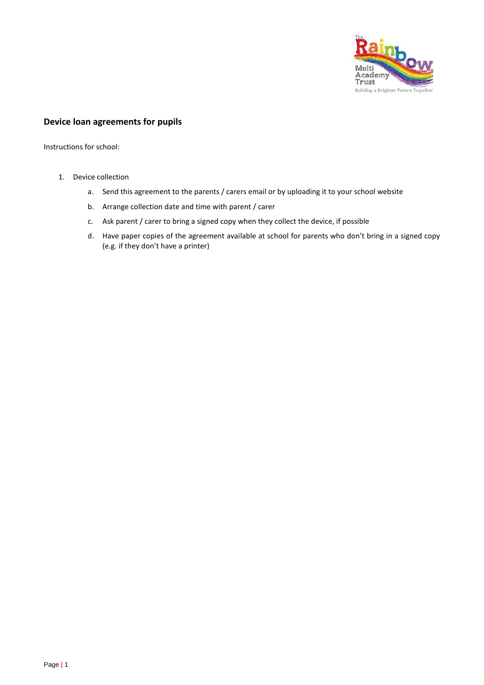

# **Device loan agreements for pupils**

Instructions for school:

- 1. Device collection
	- a. Send this agreement to the parents / carers email or by uploading it to your school website
	- b. Arrange collection date and time with parent / carer
	- c. Ask parent / carer to bring a signed copy when they collect the device, if possible
	- d. Have paper copies of the agreement available at school for parents who don't bring in a signed copy (e.g. if they don't have a printer)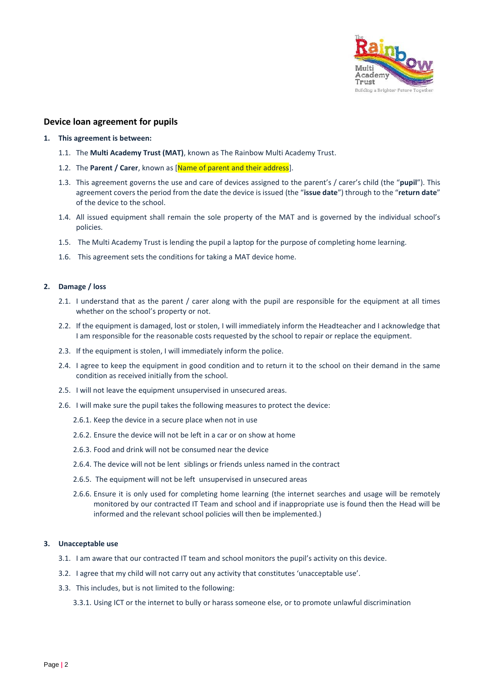

# **Device loan agreement for pupils**

#### **1. This agreement is between:**

- 1.1. The **Multi Academy Trust (MAT)**, known as The Rainbow Multi Academy Trust.
- 1.2. The **Parent / Carer**, known as [Name of parent and their address].
- 1.3. This agreement governs the use and care of devices assigned to the parent's / carer's child (the "**pupil**"). This agreement covers the period from the date the device is issued (the "**issue date**") through to the "**return date**" of the device to the school.
- 1.4. All issued equipment shall remain the sole property of the MAT and is governed by the individual school's policies.
- 1.5. The Multi Academy Trust is lending the pupil a laptop for the purpose of completing home learning.
- 1.6. This agreement sets the conditions for taking a MAT device home.

### **2. Damage / loss**

- 2.1. I understand that as the parent / carer along with the pupil are responsible for the equipment at all times whether on the school's property or not.
- 2.2. If the equipment is damaged, lost or stolen, I will immediately inform the Headteacher and I acknowledge that I am responsible for the reasonable costs requested by the school to repair or replace the equipment.
- 2.3. If the equipment is stolen, I will immediately inform the police.
- 2.4. I agree to keep the equipment in good condition and to return it to the school on their demand in the same condition as received initially from the school.
- 2.5. I will not leave the equipment unsupervised in unsecured areas.
- 2.6. I will make sure the pupil takes the following measures to protect the device:
	- 2.6.1. Keep the device in a secure place when not in use
	- 2.6.2. Ensure the device will not be left in a car or on show at home
	- 2.6.3. Food and drink will not be consumed near the device
	- 2.6.4. The device will not be lent siblings or friends unless named in the contract
	- 2.6.5. The equipment will not be left unsupervised in unsecured areas
	- 2.6.6. Ensure it is only used for completing home learning (the internet searches and usage will be remotely monitored by our contracted IT Team and school and if inappropriate use is found then the Head will be informed and the relevant school policies will then be implemented.)

#### **3. Unacceptable use**

- 3.1. I am aware that our contracted IT team and school monitors the pupil's activity on this device.
- 3.2. I agree that my child will not carry out any activity that constitutes 'unacceptable use'.
- 3.3. This includes, but is not limited to the following:

3.3.1. Using ICT or the internet to bully or harass someone else, or to promote unlawful discrimination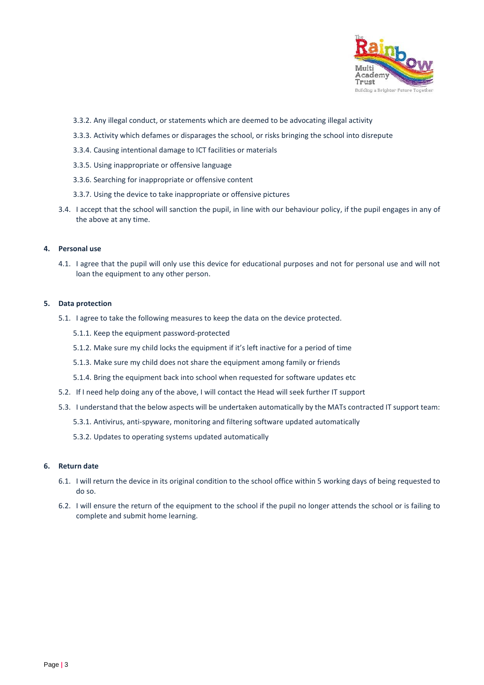

- 3.3.2. Any illegal conduct, or statements which are deemed to be advocating illegal activity
- 3.3.3. Activity which defames or disparages the school, or risks bringing the school into disrepute
- 3.3.4. Causing intentional damage to ICT facilities or materials
- 3.3.5. Using inappropriate or offensive language
- 3.3.6. Searching for inappropriate or offensive content
- 3.3.7. Using the device to take inappropriate or offensive pictures
- 3.4. I accept that the school will sanction the pupil, in line with our behaviour policy, if the pupil engages in any of the above at any time.

### **4. Personal use**

4.1. I agree that the pupil will only use this device for educational purposes and not for personal use and will not loan the equipment to any other person.

#### **5. Data protection**

- 5.1. I agree to take the following measures to keep the data on the device protected.
	- 5.1.1. Keep the equipment password-protected
	- 5.1.2. Make sure my child locks the equipment if it's left inactive for a period of time
	- 5.1.3. Make sure my child does not share the equipment among family or friends
	- 5.1.4. Bring the equipment back into school when requested for software updates etc
- 5.2. If I need help doing any of the above, I will contact the Head will seek further IT support
- 5.3. I understand that the below aspects will be undertaken automatically by the MATs contracted IT support team:
	- 5.3.1. Antivirus, anti-spyware, monitoring and filtering software updated automatically
	- 5.3.2. Updates to operating systems updated automatically

## **6. Return date**

- 6.1. I will return the device in its original condition to the school office within 5 working days of being requested to do so.
- 6.2. I will ensure the return of the equipment to the school if the pupil no longer attends the school or is failing to complete and submit home learning.